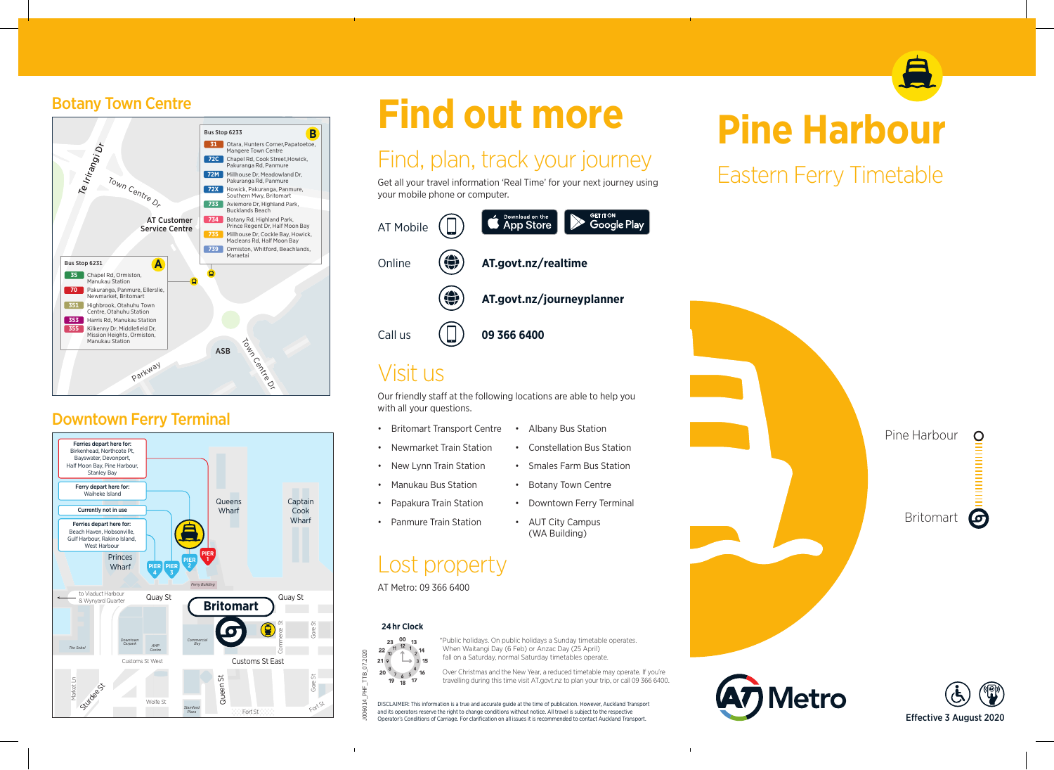## Botany Town Centre



### Downtown Ferry Terminal



# **Find out more**

# Find, plan, track your journey

Get all your travel information 'Real Time' for your next journey using your mobile phone or computer.



# Visit us

Our friendly staff at the following locations are able to help you with all your questions.

- Britomart Transport Centre Albany Bus Station
- Constellation Bus Station • Newmarket Train Station
- Smales Farm Bus Station • New Lynn Train Station
- Manukau Bus Station Botany Town Centre
- Papakura Train Station Downtown Ferry Terminal
	-
- Panmure Train Station AUT City Campus

## Lost property  $\overline{a}$

#### AT Metro: 09 366 6400

#### 2 **24 hr Clock**



 $\mathbf{I}$ 

lid<br>ait \*Public holidays. On public holidays a Sunday timetable operates. When Waitangi Day (6 Feb) or Anzac Day (25 April) fall on a Saturday, normal Saturday timetables operate.

Over Christmas and the New Year, a reduced timetable may operate. If you're travelling during this time visit AT.govt.nz to plan your trip, or call 09 366 6400.

(WA Building)

DISCLAIMER: This information is a true and accurate guide at the time of publication. However, Auckland Transport <sup>B</sup>eac<sup>h</sup> <sup>R</sup><sup>d</sup> and its operators reserve the right to change conditions without notice. All travel is subject to the respective Operator's Conditions of Carriage. For clarification on all issues it is recommended to contact Auckland Transport. An<sup>z</sup>ac Av<sup>e</sup>

# **Pine Harbour**

Eastern Ferry Timetable